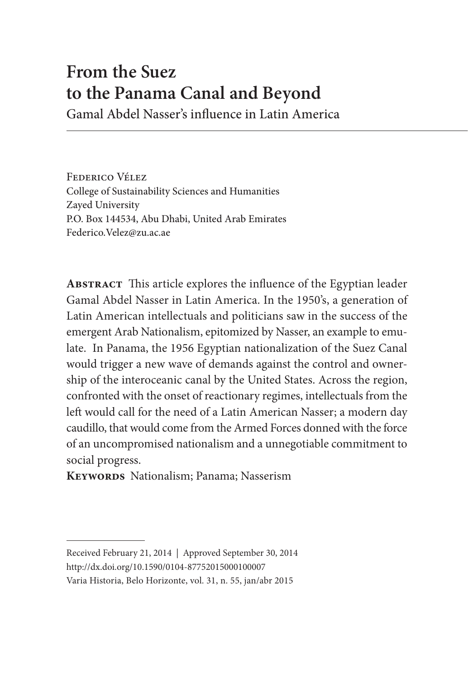# **From the Suez to the Panama Canal and Beyond**

Gamal Abdel Nasser's influence in Latin America

Federico Vélez College of Sustainability Sciences and Humanities Zayed University P.O. Box 144534, Abu Dhabi, United Arab Emirates Federico.Velez@zu.ac.ae

**Abstract** This article explores the influence of the Egyptian leader Gamal Abdel Nasser in Latin America. In the 1950's, a generation of Latin American intellectuals and politicians saw in the success of the emergent Arab Nationalism, epitomized by Nasser, an example to emulate. In Panama, the 1956 Egyptian nationalization of the Suez Canal would trigger a new wave of demands against the control and ownership of the interoceanic canal by the United States. Across the region, confronted with the onset of reactionary regimes, intellectuals from the left would call for the need of a Latin American Nasser; a modern day caudillo, that would come from the Armed Forces donned with the force of an uncompromised nationalism and a unnegotiable commitment to social progress.

**KEYWORDS** Nationalism; Panama; Nasserism

Received February 21, 2014 | Approved September 30, 2014 http://dx.doi.org/10.1590/0104-87752015000100007

Varia Historia, Belo Horizonte, vol. 31, n. 55, jan/abr 2015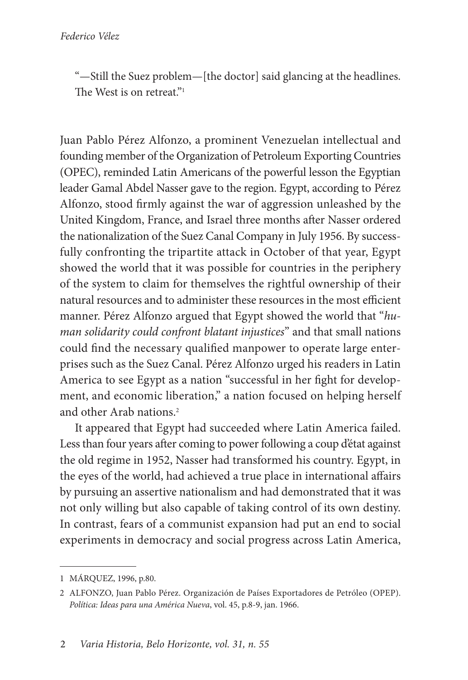"—Still the Suez problem—[the doctor] said glancing at the headlines. The West is on retreat $v_1$ 

Juan Pablo Pérez Alfonzo, a prominent Venezuelan intellectual and founding member of the Organization of Petroleum Exporting Countries (OPEC), reminded Latin Americans of the powerful lesson the Egyptian leader Gamal Abdel Nasser gave to the region. Egypt, according to Pérez Alfonzo, stood firmly against the war of aggression unleashed by the United Kingdom, France, and Israel three months after Nasser ordered the nationalization of the Suez Canal Company in July 1956. By successfully confronting the tripartite attack in October of that year, Egypt showed the world that it was possible for countries in the periphery of the system to claim for themselves the rightful ownership of their natural resources and to administer these resources in the most efficient manner. Pérez Alfonzo argued that Egypt showed the world that "*human solidarity could confront blatant injustices*" and that small nations could find the necessary qualified manpower to operate large enterprises such as the Suez Canal. Pérez Alfonzo urged his readers in Latin America to see Egypt as a nation "successful in her fight for development, and economic liberation," a nation focused on helping herself and other Arab nations.2

It appeared that Egypt had succeeded where Latin America failed. Less than four years after coming to power following a coup d'état against the old regime in 1952, Nasser had transformed his country. Egypt, in the eyes of the world, had achieved a true place in international affairs by pursuing an assertive nationalism and had demonstrated that it was not only willing but also capable of taking control of its own destiny. In contrast, fears of a communist expansion had put an end to social experiments in democracy and social progress across Latin America,

<sup>1</sup> MÁRQUEZ, 1996, p.80.

<sup>2</sup> ALFONZO, Juan Pablo Pérez. Organización de Países Exportadores de Petróleo (OPEP). *Política: Ideas para una América Nueva*, vol. 45, p.8-9, jan. 1966.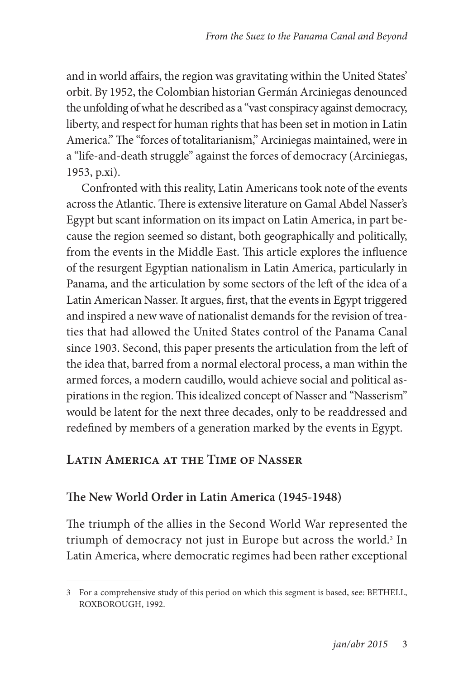and in world affairs, the region was gravitating within the United States' orbit. By 1952, the Colombian historian Germán Arciniegas denounced the unfolding of what he described as a "vast conspiracy against democracy, liberty, and respect for human rights that has been set in motion in Latin America." The "forces of totalitarianism," Arciniegas maintained, were in a "life-and-death struggle" against the forces of democracy (Arciniegas, 1953, p.xi).

Confronted with this reality, Latin Americans took note of the events across the Atlantic. There is extensive literature on Gamal Abdel Nasser's Egypt but scant information on its impact on Latin America, in part because the region seemed so distant, both geographically and politically, from the events in the Middle East. This article explores the influence of the resurgent Egyptian nationalism in Latin America, particularly in Panama, and the articulation by some sectors of the left of the idea of a Latin American Nasser. It argues, first, that the events in Egypt triggered and inspired a new wave of nationalist demands for the revision of treaties that had allowed the United States control of the Panama Canal since 1903. Second, this paper presents the articulation from the left of the idea that, barred from a normal electoral process, a man within the armed forces, a modern caudillo, would achieve social and political aspirations in the region. This idealized concept of Nasser and "Nasserism" would be latent for the next three decades, only to be readdressed and redefined by members of a generation marked by the events in Egypt.

# **Latin America at the Time of Nasser**

## **The New World Order in Latin America (1945-1948)**

The triumph of the allies in the Second World War represented the triumph of democracy not just in Europe but across the world.<sup>3</sup> In Latin America, where democratic regimes had been rather exceptional

<sup>3</sup> For a comprehensive study of this period on which this segment is based, see: BETHELL, ROXBOROUGH, 1992.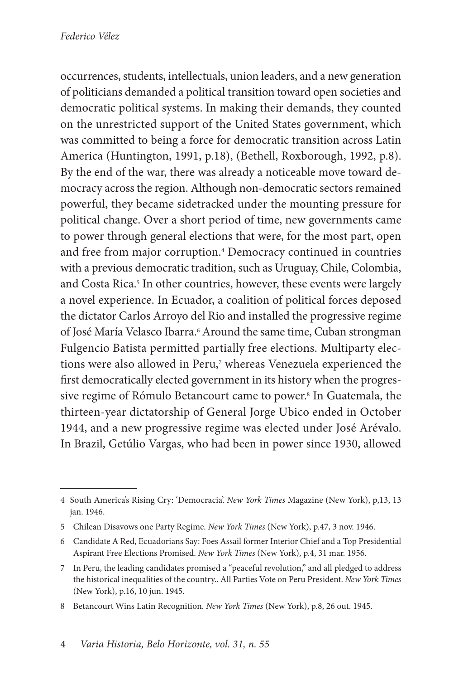occurrences, students, intellectuals, union leaders, and a new generation of politicians demanded a political transition toward open societies and democratic political systems. In making their demands, they counted on the unrestricted support of the United States government, which was committed to being a force for democratic transition across Latin America (Huntington, 1991, p.18), (Bethell, Roxborough, 1992, p.8). By the end of the war, there was already a noticeable move toward democracy across the region. Although non-democratic sectors remained powerful, they became sidetracked under the mounting pressure for political change. Over a short period of time, new governments came to power through general elections that were, for the most part, open and free from major corruption.4 Democracy continued in countries with a previous democratic tradition, such as Uruguay, Chile, Colombia, and Costa Rica.<sup>5</sup> In other countries, however, these events were largely a novel experience. In Ecuador, a coalition of political forces deposed the dictator Carlos Arroyo del Rio and installed the progressive regime of José María Velasco Ibarra.6 Around the same time, Cuban strongman Fulgencio Batista permitted partially free elections. Multiparty elections were also allowed in Peru,<sup>7</sup> whereas Venezuela experienced the first democratically elected government in its history when the progressive regime of Rómulo Betancourt came to power.8 In Guatemala, the thirteen-year dictatorship of General Jorge Ubico ended in October 1944, and a new progressive regime was elected under José Arévalo. In Brazil, Getúlio Vargas, who had been in power since 1930, allowed

<sup>4</sup> South America's Rising Cry: 'Democracia'. *New York Times* Magazine (New York), p,13, 13 jan. 1946.

<sup>5</sup> Chilean Disavows one Party Regime. *New York Times* (New York), p.47, 3 nov. 1946.

<sup>6</sup> Candidate A Red, Ecuadorians Say: Foes Assail former Interior Chief and a Top Presidential Aspirant Free Elections Promised. *New York Times* (New York), p.4, 31 mar. 1956.

<sup>7</sup> In Peru, the leading candidates promised a "peaceful revolution," and all pledged to address the historical inequalities of the country.. All Parties Vote on Peru President. *New York Times*  (New York), p.16, 10 jun. 1945.

<sup>8</sup> Betancourt Wins Latin Recognition. *New York Times* (New York), p.8, 26 out. 1945.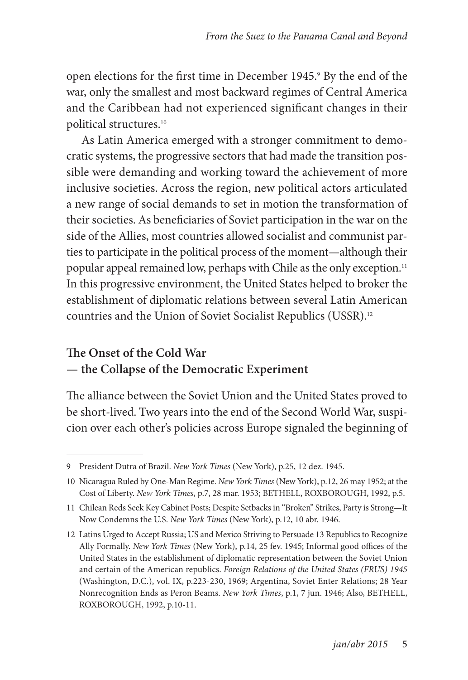open elections for the first time in December 1945.<sup>9</sup> By the end of the war, only the smallest and most backward regimes of Central America and the Caribbean had not experienced significant changes in their political structures.10

As Latin America emerged with a stronger commitment to democratic systems, the progressive sectors that had made the transition possible were demanding and working toward the achievement of more inclusive societies. Across the region, new political actors articulated a new range of social demands to set in motion the transformation of their societies. As beneficiaries of Soviet participation in the war on the side of the Allies, most countries allowed socialist and communist parties to participate in the political process of the moment—although their popular appeal remained low, perhaps with Chile as the only exception.11 In this progressive environment, the United States helped to broker the establishment of diplomatic relations between several Latin American countries and the Union of Soviet Socialist Republics (USSR).12

### **The Onset of the Cold War — the Collapse of the Democratic Experiment**

The alliance between the Soviet Union and the United States proved to be short-lived. Two years into the end of the Second World War, suspicion over each other's policies across Europe signaled the beginning of

<sup>9</sup> President Dutra of Brazil. *New York Times* (New York), p.25, 12 dez. 1945.

<sup>10</sup> Nicaragua Ruled by One-Man Regime. *New York Times* (New York), p.12, 26 may 1952; at the Cost of Liberty. *New York Times*, p.7, 28 mar. 1953; BETHELL, ROXBOROUGH, 1992, p.5.

<sup>11</sup> Chilean Reds Seek Key Cabinet Posts; Despite Setbacks in "Broken" Strikes, Party is Strong—It Now Condemns the U.S. *New York Times* (New York), p.12, 10 abr. 1946.

<sup>12</sup> Latins Urged to Accept Russia; US and Mexico Striving to Persuade 13 Republics to Recognize Ally Formally. *New York Times* (New York), p.14, 25 fev. 1945; Informal good offices of the United States in the establishment of diplomatic representation between the Soviet Union and certain of the American republics. *Foreign Relations of the United States (FRUS) 1945* (Washington, D.C.), vol. IX, p.223-230, 1969; Argentina, Soviet Enter Relations; 28 Year Nonrecognition Ends as Peron Beams. *New York Times*, p.1, 7 jun. 1946; Also, BETHELL, ROXBOROUGH, 1992, p.10-11.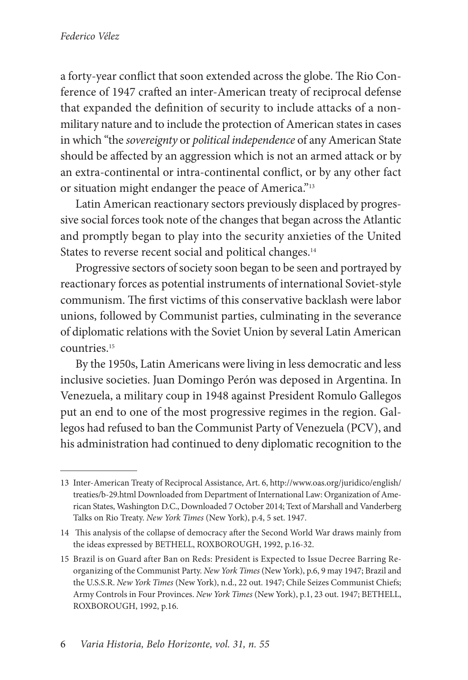a forty-year conflict that soon extended across the globe. The Rio Conference of 1947 crafted an inter-American treaty of reciprocal defense that expanded the definition of security to include attacks of a nonmilitary nature and to include the protection of American states in cases in which "the *sovereignty* or *political independence* of any American State should be affected by an aggression which is not an armed attack or by an extra-continental or intra-continental conflict, or by any other fact or situation might endanger the peace of America."<sup>13</sup>

Latin American reactionary sectors previously displaced by progressive social forces took note of the changes that began across the Atlantic and promptly began to play into the security anxieties of the United States to reverse recent social and political changes.<sup>14</sup>

Progressive sectors of society soon began to be seen and portrayed by reactionary forces as potential instruments of international Soviet-style communism. The first victims of this conservative backlash were labor unions, followed by Communist parties, culminating in the severance of diplomatic relations with the Soviet Union by several Latin American countries.15

By the 1950s, Latin Americans were living in less democratic and less inclusive societies. Juan Domingo Perón was deposed in Argentina. In Venezuela, a military coup in 1948 against President Romulo Gallegos put an end to one of the most progressive regimes in the region. Gallegos had refused to ban the Communist Party of Venezuela (PCV), and his administration had continued to deny diplomatic recognition to the

<sup>13</sup> Inter-American Treaty of Reciprocal Assistance, Art. 6, http://www.oas.org/juridico/english/ treaties/b-29.html Downloaded from Department of International Law: Organization of American States, Washington D.C., Downloaded 7 October 2014; Text of Marshall and Vanderberg Talks on Rio Treaty. *New York Times* (New York), p.4, 5 set. 1947.

<sup>14</sup> This analysis of the collapse of democracy after the Second World War draws mainly from the ideas expressed by BETHELL, ROXBOROUGH, 1992, p.16-32.

<sup>15</sup> Brazil is on Guard after Ban on Reds: President is Expected to Issue Decree Barring Reorganizing of the Communist Party. *New York Times* (New York), p.6, 9 may 1947; Brazil and the U.S.S.R. *New York Times* (New York), n.d., 22 out. 1947; Chile Seizes Communist Chiefs; Army Controls in Four Provinces. *New York Times* (New York), p.1, 23 out. 1947; BETHELL, ROXBOROUGH, 1992, p.16.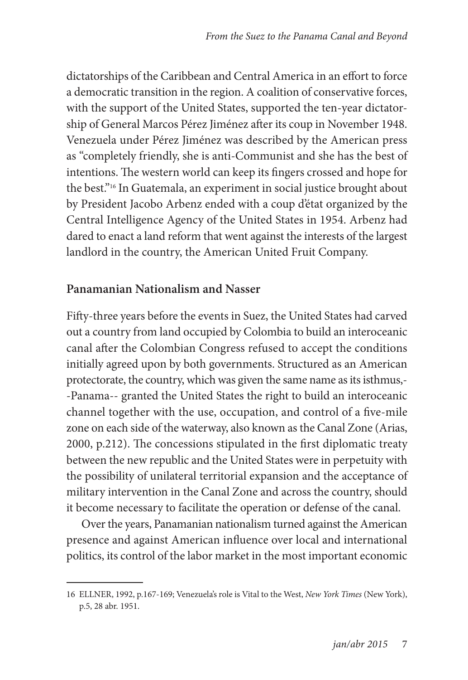dictatorships of the Caribbean and Central America in an effort to force a democratic transition in the region. A coalition of conservative forces, with the support of the United States, supported the ten-year dictatorship of General Marcos Pérez Jiménez after its coup in November 1948. Venezuela under Pérez Jiménez was described by the American press as "completely friendly, she is anti-Communist and she has the best of intentions. The western world can keep its fingers crossed and hope for the best."16 In Guatemala, an experiment in social justice brought about by President Jacobo Arbenz ended with a coup d'état organized by the Central Intelligence Agency of the United States in 1954. Arbenz had dared to enact a land reform that went against the interests of the largest landlord in the country, the American United Fruit Company.

#### **Panamanian Nationalism and Nasser**

Fifty-three years before the events in Suez, the United States had carved out a country from land occupied by Colombia to build an interoceanic canal after the Colombian Congress refused to accept the conditions initially agreed upon by both governments. Structured as an American protectorate, the country, which was given the same name as its isthmus,- -Panama-- granted the United States the right to build an interoceanic channel together with the use, occupation, and control of a five-mile zone on each side of the waterway, also known as the Canal Zone (Arias, 2000, p.212). The concessions stipulated in the first diplomatic treaty between the new republic and the United States were in perpetuity with the possibility of unilateral territorial expansion and the acceptance of military intervention in the Canal Zone and across the country, should it become necessary to facilitate the operation or defense of the canal.

Over the years, Panamanian nationalism turned against the American presence and against American influence over local and international politics, its control of the labor market in the most important economic

<sup>16</sup> ELLNER, 1992, p.167-169; Venezuela's role is Vital to the West, *New York Times* (New York), p.5, 28 abr. 1951.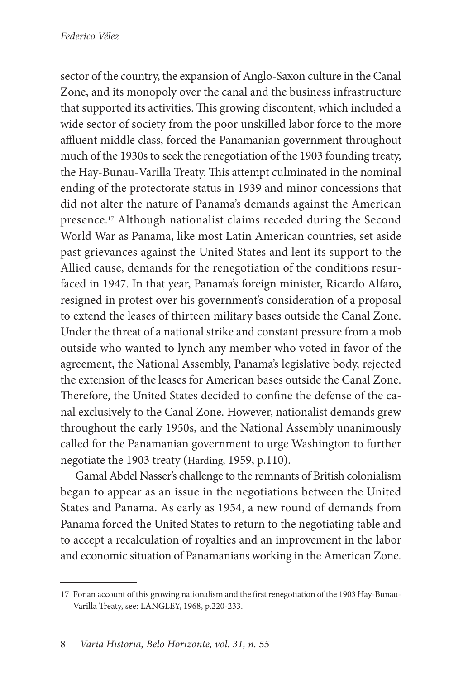sector of the country, the expansion of Anglo-Saxon culture in the Canal Zone, and its monopoly over the canal and the business infrastructure that supported its activities. This growing discontent, which included a wide sector of society from the poor unskilled labor force to the more affluent middle class, forced the Panamanian government throughout much of the 1930s to seek the renegotiation of the 1903 founding treaty, the Hay-Bunau-Varilla Treaty. This attempt culminated in the nominal ending of the protectorate status in 1939 and minor concessions that did not alter the nature of Panama's demands against the American presence.17 Although nationalist claims receded during the Second World War as Panama, like most Latin American countries, set aside past grievances against the United States and lent its support to the Allied cause, demands for the renegotiation of the conditions resurfaced in 1947. In that year, Panama's foreign minister, Ricardo Alfaro, resigned in protest over his government's consideration of a proposal to extend the leases of thirteen military bases outside the Canal Zone. Under the threat of a national strike and constant pressure from a mob outside who wanted to lynch any member who voted in favor of the agreement, the National Assembly, Panama's legislative body, rejected the extension of the leases for American bases outside the Canal Zone. Therefore, the United States decided to confine the defense of the canal exclusively to the Canal Zone. However, nationalist demands grew throughout the early 1950s, and the National Assembly unanimously called for the Panamanian government to urge Washington to further negotiate the 1903 treaty (Harding, 1959, p.110).

Gamal Abdel Nasser's challenge to the remnants of British colonialism began to appear as an issue in the negotiations between the United States and Panama. As early as 1954, a new round of demands from Panama forced the United States to return to the negotiating table and to accept a recalculation of royalties and an improvement in the labor and economic situation of Panamanians working in the American Zone.

<sup>17</sup> For an account of this growing nationalism and the first renegotiation of the 1903 Hay-Bunau-Varilla Treaty, see: LANGLEY, 1968, p.220-233.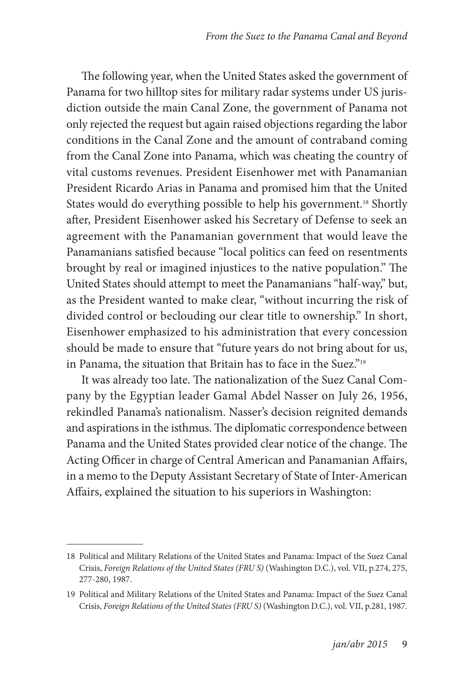The following year, when the United States asked the government of Panama for two hilltop sites for military radar systems under US jurisdiction outside the main Canal Zone, the government of Panama not only rejected the request but again raised objections regarding the labor conditions in the Canal Zone and the amount of contraband coming from the Canal Zone into Panama, which was cheating the country of vital customs revenues. President Eisenhower met with Panamanian President Ricardo Arias in Panama and promised him that the United States would do everything possible to help his government.<sup>18</sup> Shortly after, President Eisenhower asked his Secretary of Defense to seek an agreement with the Panamanian government that would leave the Panamanians satisfied because "local politics can feed on resentments brought by real or imagined injustices to the native population." The United States should attempt to meet the Panamanians "half-way," but, as the President wanted to make clear, "without incurring the risk of divided control or beclouding our clear title to ownership." In short, Eisenhower emphasized to his administration that every concession should be made to ensure that "future years do not bring about for us, in Panama, the situation that Britain has to face in the Suez."19

It was already too late. The nationalization of the Suez Canal Company by the Egyptian leader Gamal Abdel Nasser on July 26, 1956, rekindled Panama's nationalism. Nasser's decision reignited demands and aspirations in the isthmus. The diplomatic correspondence between Panama and the United States provided clear notice of the change. The Acting Officer in charge of Central American and Panamanian Affairs, in a memo to the Deputy Assistant Secretary of State of Inter-American Affairs, explained the situation to his superiors in Washington:

<sup>18</sup> Political and Military Relations of the United States and Panama: Impact of the Suez Canal Crisis, *Foreign Relations of the United States (FRU S)* (Washington D.C.), vol. VII, p.274, 275, 277-280, 1987.

<sup>19</sup> Political and Military Relations of the United States and Panama: Impact of the Suez Canal Crisis, *Foreign Relations of the United States (FRU S)* (Washington D.C.), vol. VII, p.281, 1987.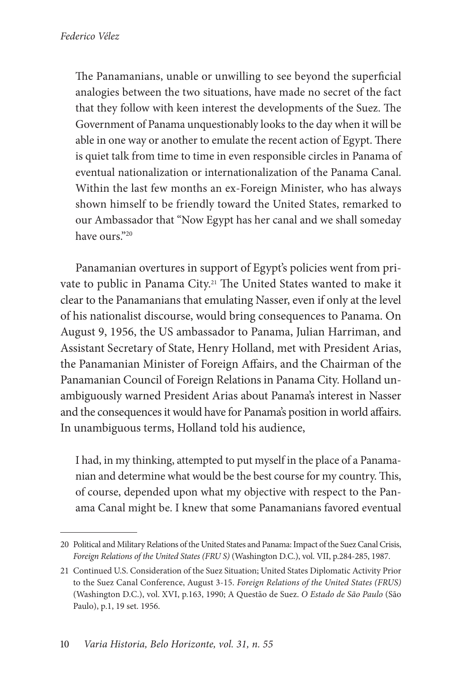The Panamanians, unable or unwilling to see beyond the superficial analogies between the two situations, have made no secret of the fact that they follow with keen interest the developments of the Suez. The Government of Panama unquestionably looks to the day when it will be able in one way or another to emulate the recent action of Egypt. There is quiet talk from time to time in even responsible circles in Panama of eventual nationalization or internationalization of the Panama Canal. Within the last few months an ex-Foreign Minister, who has always shown himself to be friendly toward the United States, remarked to our Ambassador that "Now Egypt has her canal and we shall someday have ours<sup>"20</sup>

Panamanian overtures in support of Egypt's policies went from private to public in Panama City.<sup>21</sup> The United States wanted to make it clear to the Panamanians that emulating Nasser, even if only at the level of his nationalist discourse, would bring consequences to Panama. On August 9, 1956, the US ambassador to Panama, Julian Harriman, and Assistant Secretary of State, Henry Holland, met with President Arias, the Panamanian Minister of Foreign Affairs, and the Chairman of the Panamanian Council of Foreign Relations in Panama City. Holland unambiguously warned President Arias about Panama's interest in Nasser and the consequences it would have for Panama's position in world affairs. In unambiguous terms, Holland told his audience,

I had, in my thinking, attempted to put myself in the place of a Panamanian and determine what would be the best course for my country. This, of course, depended upon what my objective with respect to the Panama Canal might be. I knew that some Panamanians favored eventual

<sup>20</sup> Political and Military Relations of the United States and Panama: Impact of the Suez Canal Crisis, *Foreign Relations of the United States (FRU S)* (Washington D.C.), vol. VII, p.284-285, 1987.

<sup>21</sup> Continued U.S. Consideration of the Suez Situation; United States Diplomatic Activity Prior to the Suez Canal Conference, August 3-15. *Foreign Relations of the United States (FRUS)* (Washington D.C.), vol. XVI, p.163, 1990; A Questão de Suez. *O Estado de São Paulo* (São Paulo), p.1, 19 set. 1956.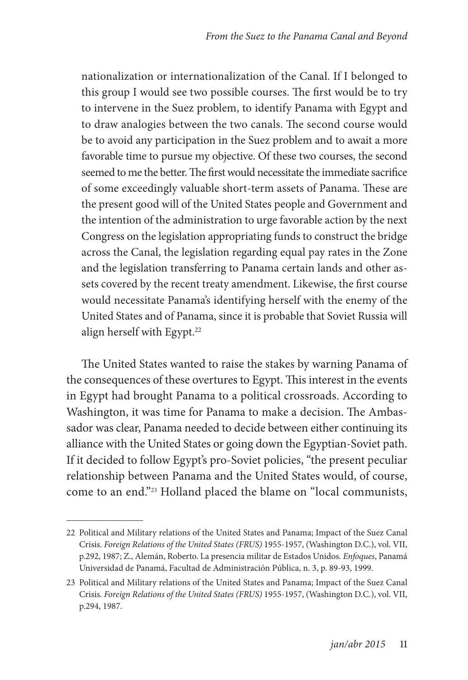nationalization or internationalization of the Canal. If I belonged to this group I would see two possible courses. The first would be to try to intervene in the Suez problem, to identify Panama with Egypt and to draw analogies between the two canals. The second course would be to avoid any participation in the Suez problem and to await a more favorable time to pursue my objective. Of these two courses, the second seemed to me the better. The first would necessitate the immediate sacrifice of some exceedingly valuable short-term assets of Panama. These are the present good will of the United States people and Government and the intention of the administration to urge favorable action by the next Congress on the legislation appropriating funds to construct the bridge across the Canal, the legislation regarding equal pay rates in the Zone and the legislation transferring to Panama certain lands and other assets covered by the recent treaty amendment. Likewise, the first course would necessitate Panama's identifying herself with the enemy of the United States and of Panama, since it is probable that Soviet Russia will align herself with Egypt.<sup>22</sup>

The United States wanted to raise the stakes by warning Panama of the consequences of these overtures to Egypt. This interest in the events in Egypt had brought Panama to a political crossroads. According to Washington, it was time for Panama to make a decision. The Ambassador was clear, Panama needed to decide between either continuing its alliance with the United States or going down the Egyptian-Soviet path. If it decided to follow Egypt's pro-Soviet policies, "the present peculiar relationship between Panama and the United States would, of course, come to an end."23 Holland placed the blame on "local communists,

<sup>22</sup> Political and Military relations of the United States and Panama; Impact of the Suez Canal Crisis. *Foreign Relations of the United States (FRUS)* 1955-1957, (Washington D.C.), vol. VII, p.292, 1987; Z., Alemán, Roberto. La presencia militar de Estados Unidos. *Enfoques*, Panamá Universidad de Panamá, Facultad de Administración Pública, n. 3, p. 89-93, 1999.

<sup>23</sup> Political and Military relations of the United States and Panama; Impact of the Suez Canal Crisis. *Foreign Relations of the United States (FRUS)* 1955-1957, (Washington D.C.), vol. VII, p.294, 1987.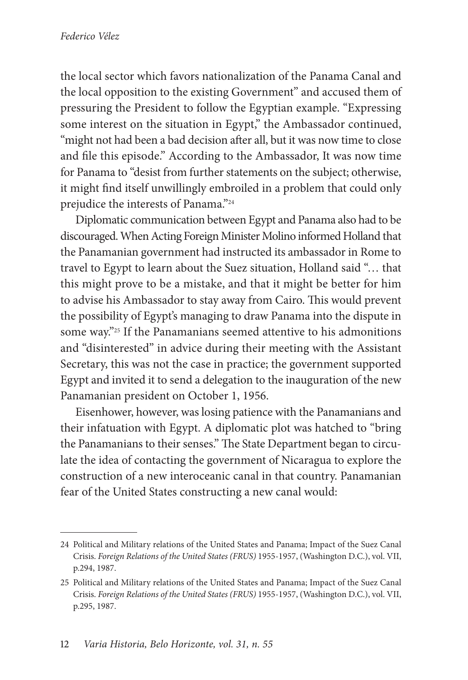the local sector which favors nationalization of the Panama Canal and the local opposition to the existing Government" and accused them of pressuring the President to follow the Egyptian example. "Expressing some interest on the situation in Egypt," the Ambassador continued, "might not had been a bad decision after all, but it was now time to close and file this episode." According to the Ambassador, It was now time for Panama to "desist from further statements on the subject; otherwise, it might find itself unwillingly embroiled in a problem that could only prejudice the interests of Panama."24

Diplomatic communication between Egypt and Panama also had to be discouraged. When Acting Foreign Minister Molino informed Holland that the Panamanian government had instructed its ambassador in Rome to travel to Egypt to learn about the Suez situation, Holland said "… that this might prove to be a mistake, and that it might be better for him to advise his Ambassador to stay away from Cairo. This would prevent the possibility of Egypt's managing to draw Panama into the dispute in some way."25 If the Panamanians seemed attentive to his admonitions and "disinterested" in advice during their meeting with the Assistant Secretary, this was not the case in practice; the government supported Egypt and invited it to send a delegation to the inauguration of the new Panamanian president on October 1, 1956.

Eisenhower, however, was losing patience with the Panamanians and their infatuation with Egypt. A diplomatic plot was hatched to "bring the Panamanians to their senses." The State Department began to circulate the idea of contacting the government of Nicaragua to explore the construction of a new interoceanic canal in that country. Panamanian fear of the United States constructing a new canal would:

<sup>24</sup> Political and Military relations of the United States and Panama; Impact of the Suez Canal Crisis. *Foreign Relations of the United States (FRUS)* 1955-1957, (Washington D.C.), vol. VII, p.294, 1987.

<sup>25</sup> Political and Military relations of the United States and Panama; Impact of the Suez Canal Crisis. *Foreign Relations of the United States (FRUS)* 1955-1957, (Washington D.C.), vol. VII, p.295, 1987.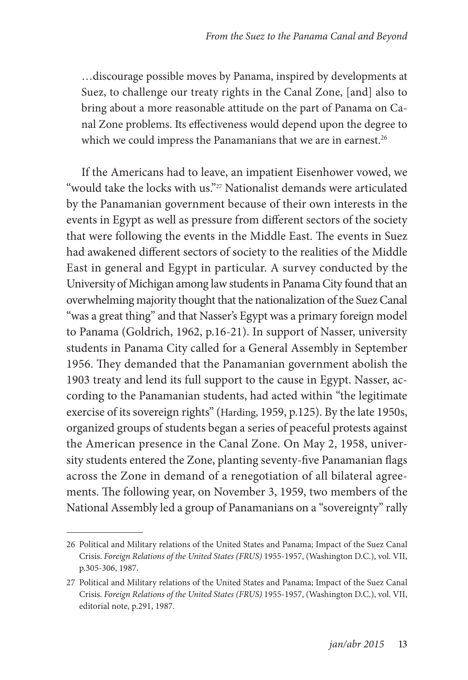…discourage possible moves by Panama, inspired by developments at Suez, to challenge our treaty rights in the Canal Zone, [and] also to bring about a more reasonable attitude on the part of Panama on Canal Zone problems. Its effectiveness would depend upon the degree to which we could impress the Panamanians that we are in earnest.<sup>26</sup>

If the Americans had to leave, an impatient Eisenhower vowed, we "would take the locks with us."27 Nationalist demands were articulated by the Panamanian government because of their own interests in the events in Egypt as well as pressure from different sectors of the society that were following the events in the Middle East. The events in Suez had awakened different sectors of society to the realities of the Middle East in general and Egypt in particular. A survey conducted by the University of Michigan among law students in Panama City found that an overwhelming majority thought that the nationalization of the Suez Canal "was a great thing" and that Nasser's Egypt was a primary foreign model to Panama (Goldrich, 1962, p.16-21). In support of Nasser, university students in Panama City called for a General Assembly in September 1956. They demanded that the Panamanian government abolish the 1903 treaty and lend its full support to the cause in Egypt. Nasser, according to the Panamanian students, had acted within "the legitimate exercise of its sovereign rights" (Harding, 1959, p.125). By the late 1950s, organized groups of students began a series of peaceful protests against the American presence in the Canal Zone. On May 2, 1958, university students entered the Zone, planting seventy-five Panamanian flags across the Zone in demand of a renegotiation of all bilateral agreements. The following year, on November 3, 1959, two members of the National Assembly led a group of Panamanians on a "sovereignty" rally

<sup>26</sup> Political and Military relations of the United States and Panama; Impact of the Suez Canal Crisis. *Foreign Relations of the United States (FRUS)* 1955-1957, (Washington D.C.), vol. VII, p.305-306, 1987.

<sup>27</sup> Political and Military relations of the United States and Panama; Impact of the Suez Canal Crisis. *Foreign Relations of the United States (FRUS)* 1955-1957, (Washington D.C.), vol. VII, editorial note, p.291, 1987.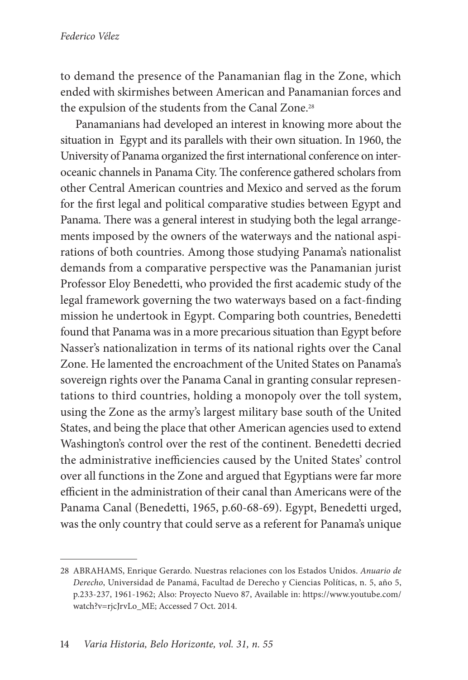to demand the presence of the Panamanian flag in the Zone, which ended with skirmishes between American and Panamanian forces and the expulsion of the students from the Canal Zone.<sup>28</sup>

Panamanians had developed an interest in knowing more about the situation in Egypt and its parallels with their own situation. In 1960, the University of Panama organized the first international conference on interoceanic channels in Panama City. The conference gathered scholars from other Central American countries and Mexico and served as the forum for the first legal and political comparative studies between Egypt and Panama. There was a general interest in studying both the legal arrangements imposed by the owners of the waterways and the national aspirations of both countries. Among those studying Panama's nationalist demands from a comparative perspective was the Panamanian jurist Professor Eloy Benedetti, who provided the first academic study of the legal framework governing the two waterways based on a fact-finding mission he undertook in Egypt. Comparing both countries, Benedetti found that Panama was in a more precarious situation than Egypt before Nasser's nationalization in terms of its national rights over the Canal Zone. He lamented the encroachment of the United States on Panama's sovereign rights over the Panama Canal in granting consular representations to third countries, holding a monopoly over the toll system, using the Zone as the army's largest military base south of the United States, and being the place that other American agencies used to extend Washington's control over the rest of the continent. Benedetti decried the administrative inefficiencies caused by the United States' control over all functions in the Zone and argued that Egyptians were far more efficient in the administration of their canal than Americans were of the Panama Canal (Benedetti, 1965, p.60-68-69). Egypt, Benedetti urged, was the only country that could serve as a referent for Panama's unique

<sup>28</sup> ABRAHAMS, Enrique Gerardo. Nuestras relaciones con los Estados Unidos. *Anuario de Derecho*, Universidad de Panamá, Facultad de Derecho y Ciencias Políticas, n. 5, año 5, p.233-237, 1961-1962; Also: Proyecto Nuevo 87, Available in: https://www.youtube.com/ watch?v=rjcJrvLo\_ME; Accessed 7 Oct. 2014.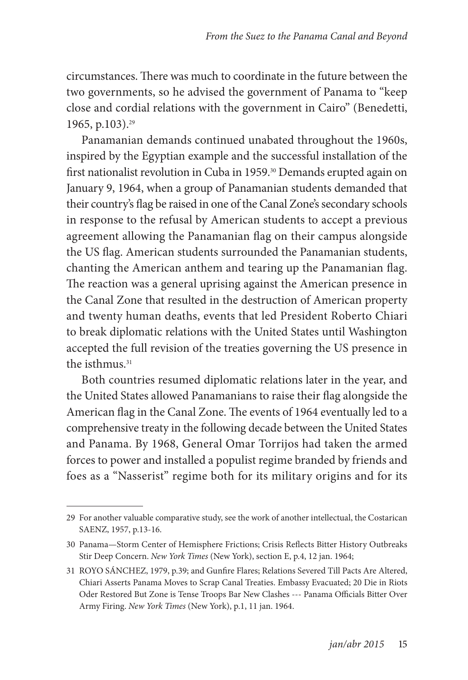circumstances. There was much to coordinate in the future between the two governments, so he advised the government of Panama to "keep close and cordial relations with the government in Cairo" (Benedetti, 1965, p.103).29

Panamanian demands continued unabated throughout the 1960s, inspired by the Egyptian example and the successful installation of the first nationalist revolution in Cuba in 1959.<sup>30</sup> Demands erupted again on January 9, 1964, when a group of Panamanian students demanded that their country's flag be raised in one of the Canal Zone's secondary schools in response to the refusal by American students to accept a previous agreement allowing the Panamanian flag on their campus alongside the US flag. American students surrounded the Panamanian students, chanting the American anthem and tearing up the Panamanian flag. The reaction was a general uprising against the American presence in the Canal Zone that resulted in the destruction of American property and twenty human deaths, events that led President Roberto Chiari to break diplomatic relations with the United States until Washington accepted the full revision of the treaties governing the US presence in the isthmus.<sup>31</sup>

Both countries resumed diplomatic relations later in the year, and the United States allowed Panamanians to raise their flag alongside the American flag in the Canal Zone. The events of 1964 eventually led to a comprehensive treaty in the following decade between the United States and Panama. By 1968, General Omar Torrijos had taken the armed forces to power and installed a populist regime branded by friends and foes as a "Nasserist" regime both for its military origins and for its

<sup>29</sup> For another valuable comparative study, see the work of another intellectual, the Costarican SAENZ, 1957, p.13-16.

<sup>30</sup> Panama—Storm Center of Hemisphere Frictions; Crisis Reflects Bitter History Outbreaks Stir Deep Concern. *New York Times* (New York), section E, p.4, 12 jan. 1964;

<sup>31</sup> ROYO SÁNCHEZ, 1979, p.39; and Gunfire Flares; Relations Severed Till Pacts Are Altered, Chiari Asserts Panama Moves to Scrap Canal Treaties. Embassy Evacuated; 20 Die in Riots Oder Restored But Zone is Tense Troops Bar New Clashes --- Panama Officials Bitter Over Army Firing. *New York Times* (New York), p.1, 11 jan. 1964.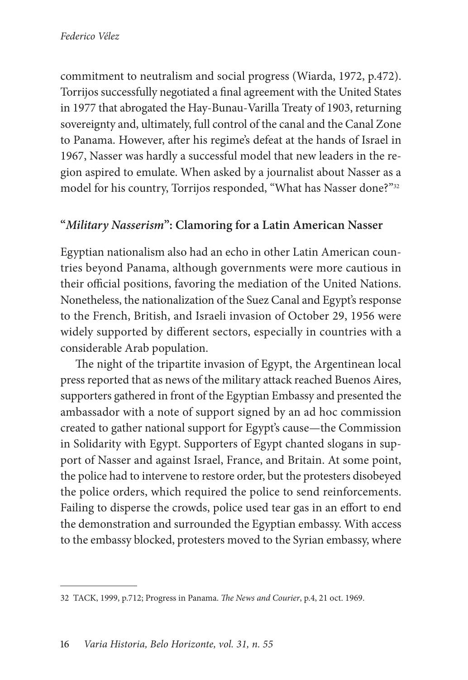commitment to neutralism and social progress (Wiarda, 1972, p.472). Torrijos successfully negotiated a final agreement with the United States in 1977 that abrogated the Hay-Bunau-Varilla Treaty of 1903, returning sovereignty and, ultimately, full control of the canal and the Canal Zone to Panama. However, after his regime's defeat at the hands of Israel in 1967, Nasser was hardly a successful model that new leaders in the region aspired to emulate. When asked by a journalist about Nasser as a model for his country, Torrijos responded, "What has Nasser done?"32

### **"***Military Nasserism***": Clamoring for a Latin American Nasser**

Egyptian nationalism also had an echo in other Latin American countries beyond Panama, although governments were more cautious in their official positions, favoring the mediation of the United Nations. Nonetheless, the nationalization of the Suez Canal and Egypt's response to the French, British, and Israeli invasion of October 29, 1956 were widely supported by different sectors, especially in countries with a considerable Arab population.

The night of the tripartite invasion of Egypt, the Argentinean local press reported that as news of the military attack reached Buenos Aires, supporters gathered in front of the Egyptian Embassy and presented the ambassador with a note of support signed by an ad hoc commission created to gather national support for Egypt's cause—the Commission in Solidarity with Egypt. Supporters of Egypt chanted slogans in support of Nasser and against Israel, France, and Britain. At some point, the police had to intervene to restore order, but the protesters disobeyed the police orders, which required the police to send reinforcements. Failing to disperse the crowds, police used tear gas in an effort to end the demonstration and surrounded the Egyptian embassy. With access to the embassy blocked, protesters moved to the Syrian embassy, where

<sup>32</sup> TACK, 1999, p.712; Progress in Panama. *The News and Courier*, p.4, 21 oct. 1969.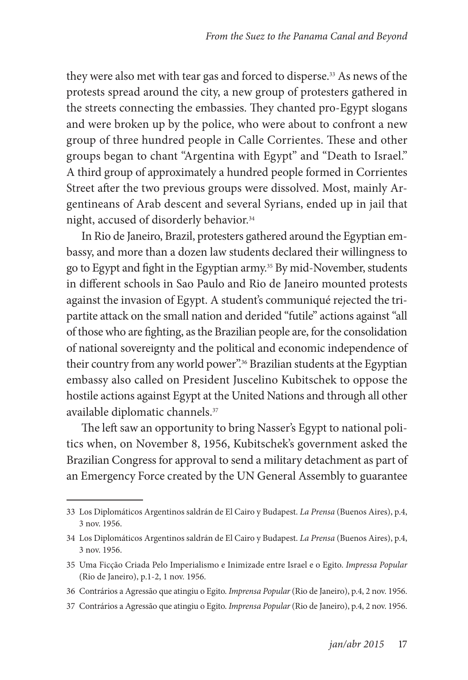they were also met with tear gas and forced to disperse.<sup>33</sup> As news of the protests spread around the city, a new group of protesters gathered in the streets connecting the embassies. They chanted pro-Egypt slogans and were broken up by the police, who were about to confront a new group of three hundred people in Calle Corrientes. These and other groups began to chant "Argentina with Egypt" and "Death to Israel." A third group of approximately a hundred people formed in Corrientes Street after the two previous groups were dissolved. Most, mainly Argentineans of Arab descent and several Syrians, ended up in jail that night, accused of disorderly behavior.<sup>34</sup>

In Rio de Janeiro, Brazil, protesters gathered around the Egyptian embassy, and more than a dozen law students declared their willingness to go to Egypt and fight in the Egyptian army.35 By mid-November, students in different schools in Sao Paulo and Rio de Janeiro mounted protests against the invasion of Egypt. A student's communiqué rejected the tripartite attack on the small nation and derided "futile" actions against "all of those who are fighting, as the Brazilian people are, for the consolidation of national sovereignty and the political and economic independence of their country from any world power".<sup>36</sup> Brazilian students at the Egyptian embassy also called on President Juscelino Kubitschek to oppose the hostile actions against Egypt at the United Nations and through all other available diplomatic channels.<sup>37</sup>

The left saw an opportunity to bring Nasser's Egypt to national politics when, on November 8, 1956, Kubitschek's government asked the Brazilian Congress for approval to send a military detachment as part of an Emergency Force created by the UN General Assembly to guarantee

<sup>33</sup> Los Diplomáticos Argentinos saldrán de El Cairo y Budapest. *La Prensa* (Buenos Aires), p.4, 3 nov. 1956.

<sup>34</sup> Los Diplomáticos Argentinos saldrán de El Cairo y Budapest. *La Prensa* (Buenos Aires), p.4, 3 nov. 1956.

<sup>35</sup> Uma Ficção Criada Pelo Imperialismo e Inimizade entre Israel e o Egito. *Impressa Popular* (Rio de Janeiro), p.1-2, 1 nov. 1956.

<sup>36</sup> Contrários a Agressão que atingiu o Egito. *Imprensa Popular* (Rio de Janeiro), p.4, 2 nov. 1956.

<sup>37</sup> Contrários a Agressão que atingiu o Egito. *Imprensa Popular* (Rio de Janeiro), p.4, 2 nov. 1956.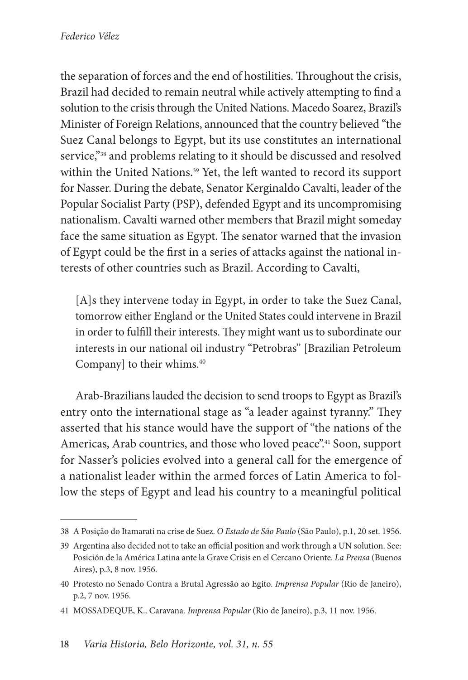the separation of forces and the end of hostilities. Throughout the crisis, Brazil had decided to remain neutral while actively attempting to find a solution to the crisis through the United Nations. Macedo Soarez, Brazil's Minister of Foreign Relations, announced that the country believed "the Suez Canal belongs to Egypt, but its use constitutes an international service,"38 and problems relating to it should be discussed and resolved within the United Nations.<sup>39</sup> Yet, the left wanted to record its support for Nasser. During the debate, Senator Kerginaldo Cavalti, leader of the Popular Socialist Party (PSP), defended Egypt and its uncompromising nationalism. Cavalti warned other members that Brazil might someday face the same situation as Egypt. The senator warned that the invasion of Egypt could be the first in a series of attacks against the national interests of other countries such as Brazil. According to Cavalti,

[A]s they intervene today in Egypt, in order to take the Suez Canal, tomorrow either England or the United States could intervene in Brazil in order to fulfill their interests. They might want us to subordinate our interests in our national oil industry "Petrobras" [Brazilian Petroleum Company] to their whims.<sup>40</sup>

Arab-Brazilians lauded the decision to send troops to Egypt as Brazil's entry onto the international stage as "a leader against tyranny." They asserted that his stance would have the support of "the nations of the Americas, Arab countries, and those who loved peace".<sup>41</sup> Soon, support for Nasser's policies evolved into a general call for the emergence of a nationalist leader within the armed forces of Latin America to follow the steps of Egypt and lead his country to a meaningful political

<sup>38</sup> A Posição do Itamarati na crise de Suez. *O Estado de São Paulo* (São Paulo), p.1, 20 set. 1956.

<sup>39</sup> Argentina also decided not to take an official position and work through a UN solution. See: Posición de la América Latina ante la Grave Crisis en el Cercano Oriente. *La Prensa* (Buenos Aires), p.3, 8 nov. 1956.

<sup>40</sup> Protesto no Senado Contra a Brutal Agressão ao Egito. *Imprensa Popular* (Rio de Janeiro), p.2, 7 nov. 1956.

<sup>41</sup> MOSSADEQUE, K.. Caravana*. Imprensa Popular* (Rio de Janeiro), p.3, 11 nov. 1956.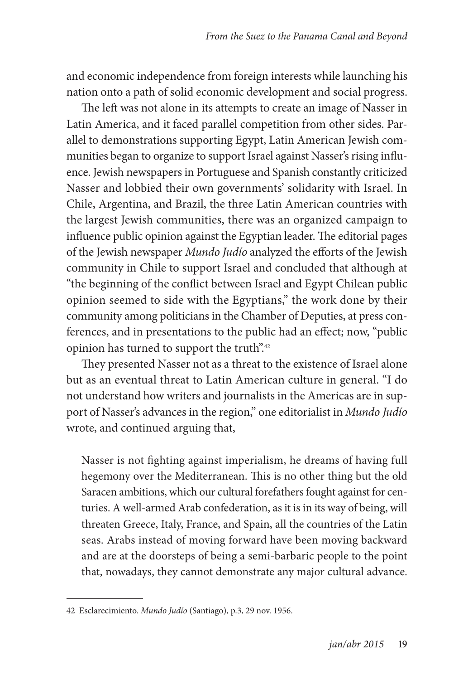and economic independence from foreign interests while launching his nation onto a path of solid economic development and social progress.

The left was not alone in its attempts to create an image of Nasser in Latin America, and it faced parallel competition from other sides. Parallel to demonstrations supporting Egypt, Latin American Jewish communities began to organize to support Israel against Nasser's rising influence. Jewish newspapers in Portuguese and Spanish constantly criticized Nasser and lobbied their own governments' solidarity with Israel. In Chile, Argentina, and Brazil, the three Latin American countries with the largest Jewish communities, there was an organized campaign to influence public opinion against the Egyptian leader. The editorial pages of the Jewish newspaper *Mundo Judío* analyzed the efforts of the Jewish community in Chile to support Israel and concluded that although at "the beginning of the conflict between Israel and Egypt Chilean public opinion seemed to side with the Egyptians," the work done by their community among politicians in the Chamber of Deputies, at press conferences, and in presentations to the public had an effect; now, "public opinion has turned to support the truth".<sup>42</sup>

They presented Nasser not as a threat to the existence of Israel alone but as an eventual threat to Latin American culture in general. "I do not understand how writers and journalists in the Americas are in support of Nasser's advances in the region," one editorialist in *Mundo Judío* wrote, and continued arguing that,

Nasser is not fighting against imperialism, he dreams of having full hegemony over the Mediterranean. This is no other thing but the old Saracen ambitions, which our cultural forefathers fought against for centuries. A well-armed Arab confederation, as it is in its way of being, will threaten Greece, Italy, France, and Spain, all the countries of the Latin seas. Arabs instead of moving forward have been moving backward and are at the doorsteps of being a semi-barbaric people to the point that, nowadays, they cannot demonstrate any major cultural advance.

<sup>42</sup> Esclarecimiento. *Mundo Judío* (Santiago), p.3, 29 nov. 1956.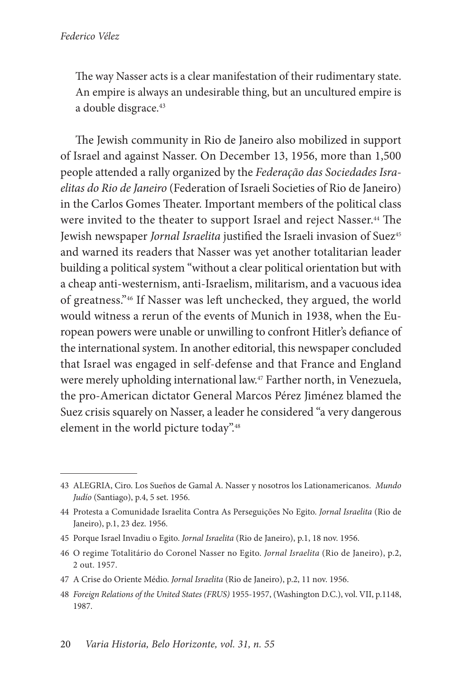The way Nasser acts is a clear manifestation of their rudimentary state. An empire is always an undesirable thing, but an uncultured empire is a double disgrace.<sup>43</sup>

The Jewish community in Rio de Janeiro also mobilized in support of Israel and against Nasser. On December 13, 1956, more than 1,500 people attended a rally organized by the *Federação das Sociedades Israelitas do Rio de Janeiro* (Federation of Israeli Societies of Rio de Janeiro) in the Carlos Gomes Theater. Important members of the political class were invited to the theater to support Israel and reject Nasser.<sup>44</sup> The Jewish newspaper *Jornal Israelita* justified the Israeli invasion of Suez<sup>45</sup> and warned its readers that Nasser was yet another totalitarian leader building a political system "without a clear political orientation but with a cheap anti-westernism, anti-Israelism, militarism, and a vacuous idea of greatness."46 If Nasser was left unchecked, they argued, the world would witness a rerun of the events of Munich in 1938, when the European powers were unable or unwilling to confront Hitler's defiance of the international system. In another editorial, this newspaper concluded that Israel was engaged in self-defense and that France and England were merely upholding international law.47 Farther north, in Venezuela, the pro-American dictator General Marcos Pérez Jiménez blamed the Suez crisis squarely on Nasser, a leader he considered "a very dangerous element in the world picture today".48

<sup>43</sup> ALEGRIA, Ciro. Los Sueños de Gamal A. Nasser y nosotros los Lationamericanos. *Mundo Judío* (Santiago), p.4, 5 set. 1956.

<sup>44</sup> Protesta a Comunidade Israelita Contra As Perseguições No Egito. *Jornal Israelita* (Rio de Janeiro), p.1, 23 dez. 1956.

<sup>45</sup> Porque Israel Invadiu o Egito. *Jornal Israelita* (Rio de Janeiro), p.1, 18 nov. 1956.

<sup>46</sup> O regime Totalitário do Coronel Nasser no Egito. *Jornal Israelita* (Rio de Janeiro), p.2, 2 out. 1957.

<sup>47</sup> A Crise do Oriente Médio. *Jornal Israelita* (Rio de Janeiro), p.2, 11 nov. 1956.

<sup>48</sup> *Foreign Relations of the United States (FRUS)* 1955-1957, (Washington D.C.), vol. VII, p.1148, 1987.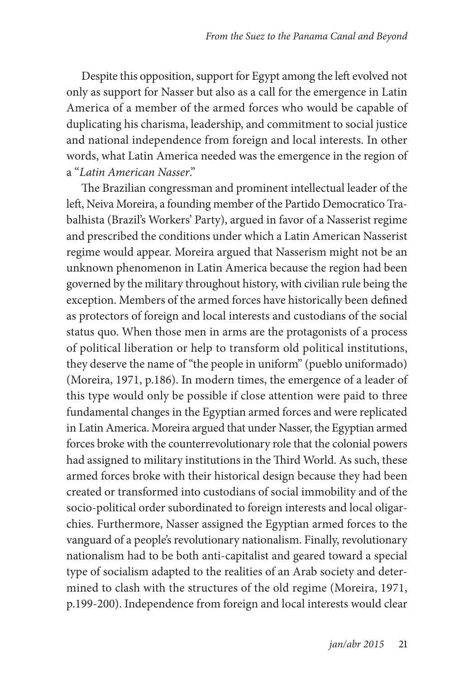Despite this opposition, support for Egypt among the left evolved not only as support for Nasser but also as a call for the emergence in Latin America of a member of the armed forces who would be capable of duplicating his charisma, leadership, and commitment to social justice and national independence from foreign and local interests. In other words, what Latin America needed was the emergence in the region of a "*Latin American Nasser*."

The Brazilian congressman and prominent intellectual leader of the left, Neiva Moreira, a founding member of the Partido Democratico Trabalhista (Brazil's Workers' Party), argued in favor of a Nasserist regime and prescribed the conditions under which a Latin American Nasserist regime would appear. Moreira argued that Nasserism might not be an unknown phenomenon in Latin America because the region had been governed by the military throughout history, with civilian rule being the exception. Members of the armed forces have historically been defined as protectors of foreign and local interests and custodians of the social status quo. When those men in arms are the protagonists of a process of political liberation or help to transform old political institutions, they deserve the name of "the people in uniform" (pueblo uniformado) (Moreira, 1971, p.186). In modern times, the emergence of a leader of this type would only be possible if close attention were paid to three fundamental changes in the Egyptian armed forces and were replicated in Latin America. Moreira argued that under Nasser, the Egyptian armed forces broke with the counterrevolutionary role that the colonial powers had assigned to military institutions in the Third World. As such, these armed forces broke with their historical design because they had been created or transformed into custodians of social immobility and of the socio-political order subordinated to foreign interests and local oligarchies. Furthermore, Nasser assigned the Egyptian armed forces to the vanguard of a people's revolutionary nationalism. Finally, revolutionary nationalism had to be both anti-capitalist and geared toward a special type of socialism adapted to the realities of an Arab society and determined to clash with the structures of the old regime (Moreira, 1971, p.199-200). Independence from foreign and local interests would clear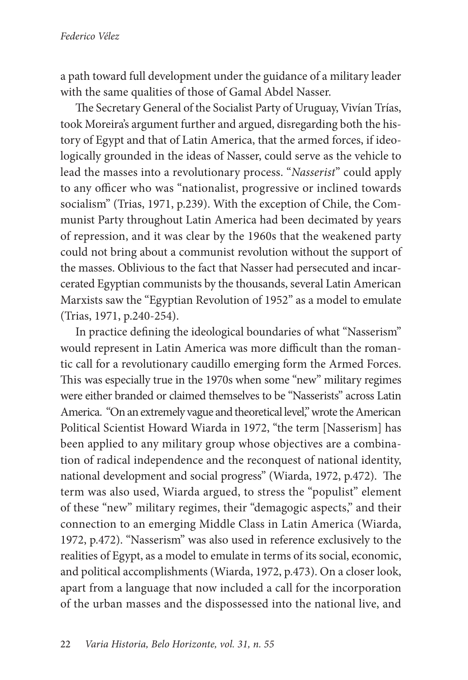a path toward full development under the guidance of a military leader with the same qualities of those of Gamal Abdel Nasser.

The Secretary General of the Socialist Party of Uruguay, Vivían Trías, took Moreira's argument further and argued, disregarding both the history of Egypt and that of Latin America, that the armed forces, if ideologically grounded in the ideas of Nasser, could serve as the vehicle to lead the masses into a revolutionary process. "*Nasserist*" could apply to any officer who was "nationalist, progressive or inclined towards socialism" (Trias, 1971, p.239). With the exception of Chile, the Communist Party throughout Latin America had been decimated by years of repression, and it was clear by the 1960s that the weakened party could not bring about a communist revolution without the support of the masses. Oblivious to the fact that Nasser had persecuted and incarcerated Egyptian communists by the thousands, several Latin American Marxists saw the "Egyptian Revolution of 1952" as a model to emulate (Trias, 1971, p.240-254).

In practice defining the ideological boundaries of what "Nasserism" would represent in Latin America was more difficult than the romantic call for a revolutionary caudillo emerging form the Armed Forces. This was especially true in the 1970s when some "new" military regimes were either branded or claimed themselves to be "Nasserists" across Latin America. "On an extremely vague and theoretical level," wrote the American Political Scientist Howard Wiarda in 1972, "the term [Nasserism] has been applied to any military group whose objectives are a combination of radical independence and the reconquest of national identity, national development and social progress" (Wiarda, 1972, p.472). The term was also used, Wiarda argued, to stress the "populist" element of these "new" military regimes, their "demagogic aspects," and their connection to an emerging Middle Class in Latin America (Wiarda, 1972, p.472). "Nasserism" was also used in reference exclusively to the realities of Egypt, as a model to emulate in terms of its social, economic, and political accomplishments (Wiarda, 1972, p.473). On a closer look, apart from a language that now included a call for the incorporation of the urban masses and the dispossessed into the national live, and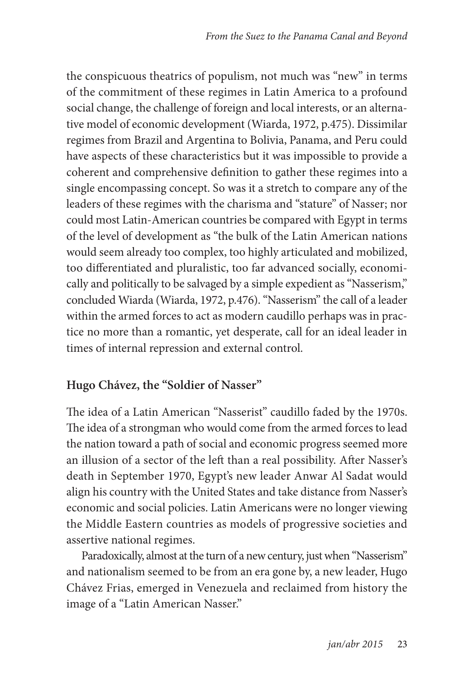the conspicuous theatrics of populism, not much was "new" in terms of the commitment of these regimes in Latin America to a profound social change, the challenge of foreign and local interests, or an alternative model of economic development (Wiarda, 1972, p.475). Dissimilar regimes from Brazil and Argentina to Bolivia, Panama, and Peru could have aspects of these characteristics but it was impossible to provide a coherent and comprehensive definition to gather these regimes into a single encompassing concept. So was it a stretch to compare any of the leaders of these regimes with the charisma and "stature" of Nasser; nor could most Latin-American countries be compared with Egypt in terms of the level of development as "the bulk of the Latin American nations would seem already too complex, too highly articulated and mobilized, too differentiated and pluralistic, too far advanced socially, economically and politically to be salvaged by a simple expedient as "Nasserism," concluded Wiarda (Wiarda, 1972, p.476). "Nasserism" the call of a leader within the armed forces to act as modern caudillo perhaps was in practice no more than a romantic, yet desperate, call for an ideal leader in times of internal repression and external control.

# **Hugo Chávez, the "Soldier of Nasser"**

The idea of a Latin American "Nasserist" caudillo faded by the 1970s. The idea of a strongman who would come from the armed forces to lead the nation toward a path of social and economic progress seemed more an illusion of a sector of the left than a real possibility. After Nasser's death in September 1970, Egypt's new leader Anwar Al Sadat would align his country with the United States and take distance from Nasser's economic and social policies. Latin Americans were no longer viewing the Middle Eastern countries as models of progressive societies and assertive national regimes.

Paradoxically, almost at the turn of a new century, just when "Nasserism" and nationalism seemed to be from an era gone by, a new leader, Hugo Chávez Frias, emerged in Venezuela and reclaimed from history the image of a "Latin American Nasser."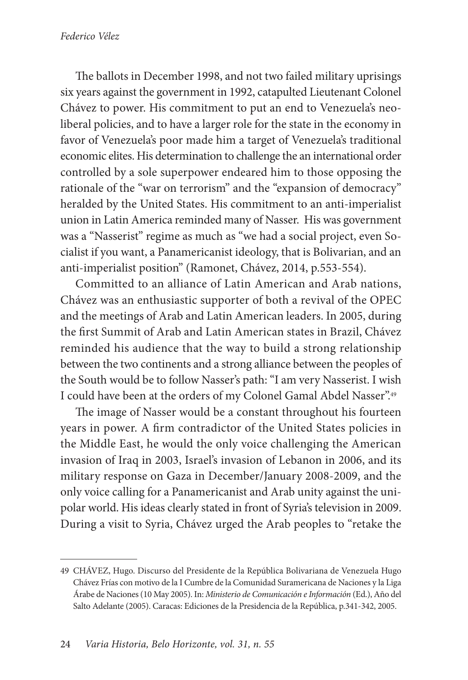The ballots in December 1998, and not two failed military uprisings six years against the government in 1992, catapulted Lieutenant Colonel Chávez to power. His commitment to put an end to Venezuela's neoliberal policies, and to have a larger role for the state in the economy in favor of Venezuela's poor made him a target of Venezuela's traditional economic elites. His determination to challenge the an international order controlled by a sole superpower endeared him to those opposing the rationale of the "war on terrorism" and the "expansion of democracy" heralded by the United States. His commitment to an anti-imperialist union in Latin America reminded many of Nasser. His was government was a "Nasserist" regime as much as "we had a social project, even Socialist if you want, a Panamericanist ideology, that is Bolivarian, and an anti-imperialist position" (Ramonet, Chávez, 2014, p.553-554).

Committed to an alliance of Latin American and Arab nations, Chávez was an enthusiastic supporter of both a revival of the OPEC and the meetings of Arab and Latin American leaders. In 2005, during the first Summit of Arab and Latin American states in Brazil, Chávez reminded his audience that the way to build a strong relationship between the two continents and a strong alliance between the peoples of the South would be to follow Nasser's path: "I am very Nasserist. I wish I could have been at the orders of my Colonel Gamal Abdel Nasser".49

The image of Nasser would be a constant throughout his fourteen years in power. A firm contradictor of the United States policies in the Middle East, he would the only voice challenging the American invasion of Iraq in 2003, Israel's invasion of Lebanon in 2006, and its military response on Gaza in December/January 2008-2009, and the only voice calling for a Panamericanist and Arab unity against the unipolar world. His ideas clearly stated in front of Syria's television in 2009. During a visit to Syria, Chávez urged the Arab peoples to "retake the

<sup>49</sup> CHÁVEZ, Hugo. Discurso del Presidente de la República Bolivariana de Venezuela Hugo Chávez Frías con motivo de la I Cumbre de la Comunidad Suramericana de Naciones y la Liga Árabe de Naciones (10 May 2005). In: *Ministerio de Comunicación e Información* (Ed.), Año del Salto Adelante (2005). Caracas: Ediciones de la Presidencia de la República, p.341-342, 2005.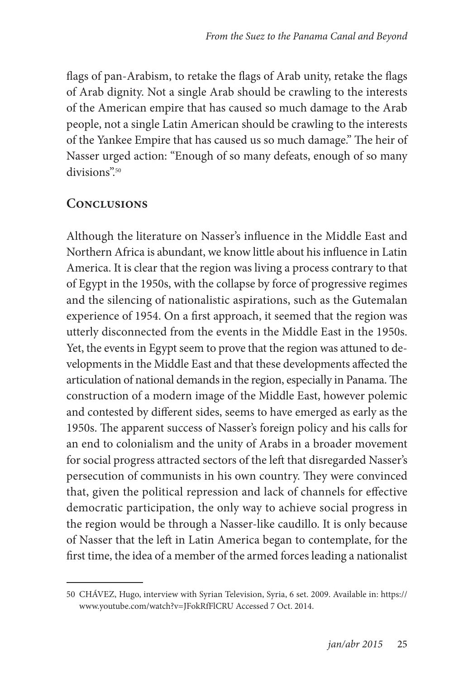flags of pan-Arabism, to retake the flags of Arab unity, retake the flags of Arab dignity. Not a single Arab should be crawling to the interests of the American empire that has caused so much damage to the Arab people, not a single Latin American should be crawling to the interests of the Yankee Empire that has caused us so much damage." The heir of Nasser urged action: "Enough of so many defeats, enough of so many divisions"<sup>50</sup>

#### **Conclusions**

Although the literature on Nasser's influence in the Middle East and Northern Africa is abundant, we know little about his influence in Latin America. It is clear that the region was living a process contrary to that of Egypt in the 1950s, with the collapse by force of progressive regimes and the silencing of nationalistic aspirations, such as the Gutemalan experience of 1954. On a first approach, it seemed that the region was utterly disconnected from the events in the Middle East in the 1950s. Yet, the events in Egypt seem to prove that the region was attuned to developments in the Middle East and that these developments affected the articulation of national demands in the region, especially in Panama. The construction of a modern image of the Middle East, however polemic and contested by different sides, seems to have emerged as early as the 1950s. The apparent success of Nasser's foreign policy and his calls for an end to colonialism and the unity of Arabs in a broader movement for social progress attracted sectors of the left that disregarded Nasser's persecution of communists in his own country. They were convinced that, given the political repression and lack of channels for effective democratic participation, the only way to achieve social progress in the region would be through a Nasser-like caudillo. It is only because of Nasser that the left in Latin America began to contemplate, for the first time, the idea of a member of the armed forces leading a nationalist

<sup>50</sup> CHÁVEZ, Hugo, interview with Syrian Television, Syria, 6 set. 2009. Available in: https:// www.youtube.com/watch?v=JFokRfFlCRU Accessed 7 Oct. 2014.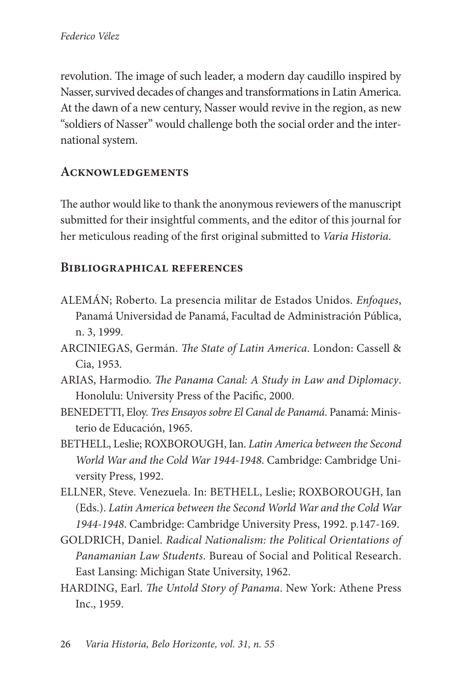revolution. The image of such leader, a modern day caudillo inspired by Nasser, survived decades of changes and transformations in Latin America. At the dawn of a new century, Nasser would revive in the region, as new "soldiers of Nasser" would challenge both the social order and the international system.

#### **Acknowledgements**

The author would like to thank the anonymous reviewers of the manuscript submitted for their insightful comments, and the editor of this journal for her meticulous reading of the first original submitted to *Varia Historia*.

#### **Bibliographical references**

- ALEMÁN; Roberto. La presencia militar de Estados Unidos. *Enfoques*, Panamá Universidad de Panamá, Facultad de Administración Pública, n. 3, 1999.
- ARCINIEGAS, Germán. *The State of Latin America*. London: Cassell & Cia, 1953.
- ARIAS, Harmodio. *The Panama Canal: A Study in Law and Diplomacy*. Honolulu: University Press of the Pacific, 2000.
- BENEDETTI, Eloy. *Tres Ensayos sobre El Canal de Panamá*. Panamá: Ministerio de Educación, 1965.
- BETHELL, Leslie; ROXBOROUGH, Ian. *Latin America between the Second World War and the Cold War 1944-1948*. Cambridge: Cambridge University Press, 1992.
- ELLNER, Steve. Venezuela. In: BETHELL, Leslie; ROXBOROUGH, Ian (Eds.). *Latin America between the Second World War and the Cold War 1944-1948*. Cambridge: Cambridge University Press, 1992. p.147-169.
- GOLDRICH, Daniel. *Radical Nationalism: the Political Orientations of Panamanian Law Students*. Bureau of Social and Political Research. East Lansing: Michigan State University, 1962.
- HARDING, Earl. *The Untold Story of Panama*. New York: Athene Press Inc., 1959.